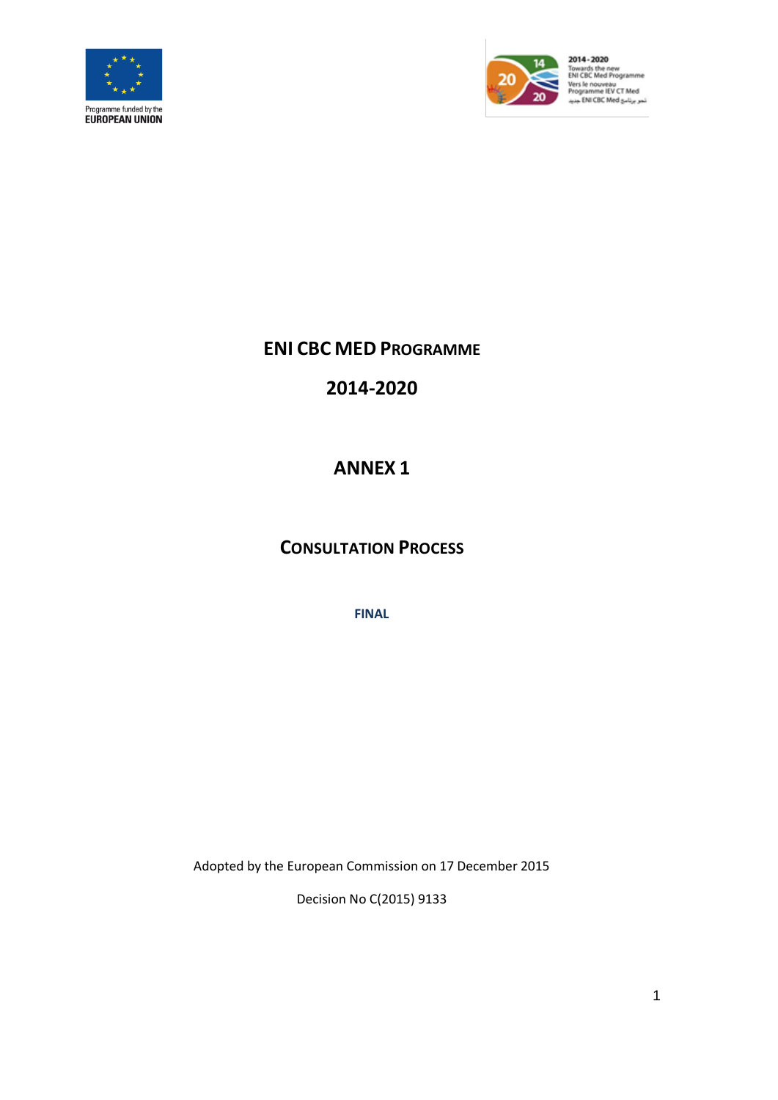



2014 - 2020 Towards the new<br>ENI CBC Med Programme Vers le nouveau<br>Programme IEV CT Med<br>نمو برنامو ENI CBC Med

## **ENI CBC MED PROGRAMME**

**2014-2020**

## **ANNEX 1**

## **CONSULTATION PROCESS**

**FINAL**

Adopted by the European Commission on 17 December 2015

Decision No C(2015) 9133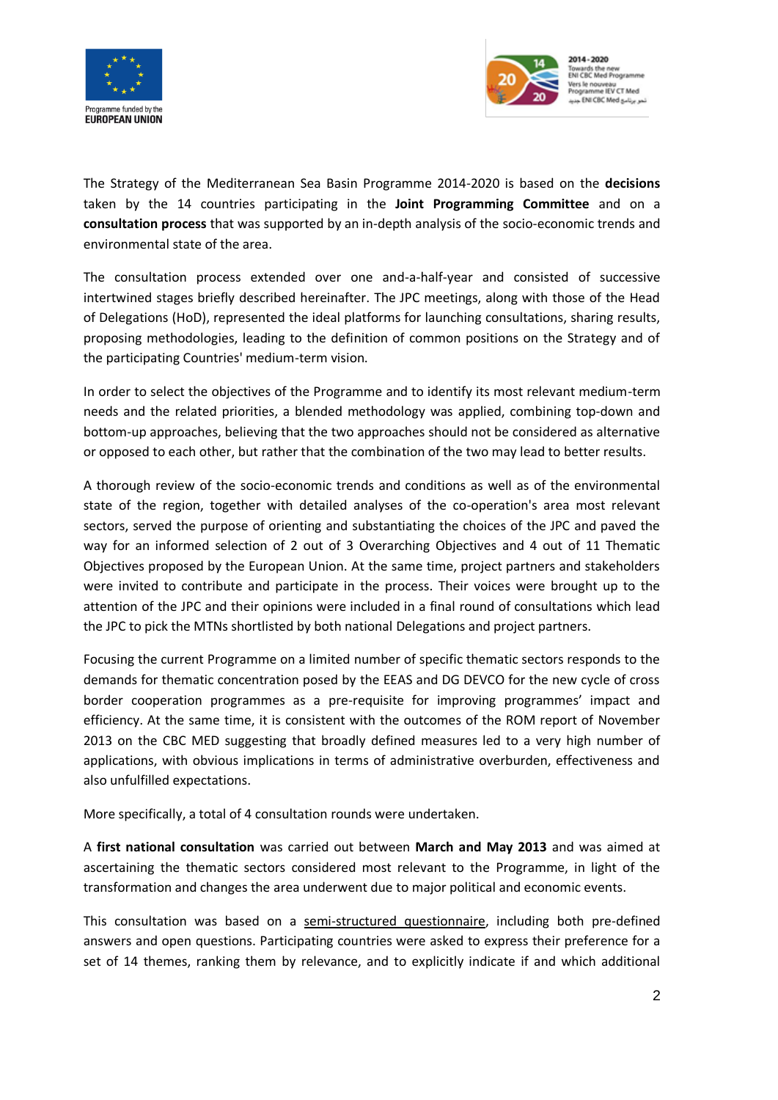



The Strategy of the Mediterranean Sea Basin Programme 2014-2020 is based on the **decisions** taken by the 14 countries participating in the **Joint Programming Committee** and on a **consultation process** that was supported by an in-depth analysis of the socio-economic trends and environmental state of the area.

The consultation process extended over one and-a-half-year and consisted of successive intertwined stages briefly described hereinafter. The JPC meetings, along with those of the Head of Delegations (HoD), represented the ideal platforms for launching consultations, sharing results, proposing methodologies, leading to the definition of common positions on the Strategy and of the participating Countries' medium-term vision.

In order to select the objectives of the Programme and to identify its most relevant medium-term needs and the related priorities, a blended methodology was applied, combining top-down and bottom-up approaches, believing that the two approaches should not be considered as alternative or opposed to each other, but rather that the combination of the two may lead to better results.

A thorough review of the socio-economic trends and conditions as well as of the environmental state of the region, together with detailed analyses of the co-operation's area most relevant sectors, served the purpose of orienting and substantiating the choices of the JPC and paved the way for an informed selection of 2 out of 3 Overarching Objectives and 4 out of 11 Thematic Objectives proposed by the European Union. At the same time, project partners and stakeholders were invited to contribute and participate in the process. Their voices were brought up to the attention of the JPC and their opinions were included in a final round of consultations which lead the JPC to pick the MTNs shortlisted by both national Delegations and project partners.

Focusing the current Programme on a limited number of specific thematic sectors responds to the demands for thematic concentration posed by the EEAS and DG DEVCO for the new cycle of cross border cooperation programmes as a pre-requisite for improving programmes' impact and efficiency. At the same time, it is consistent with the outcomes of the ROM report of November 2013 on the CBC MED suggesting that broadly defined measures led to a very high number of applications, with obvious implications in terms of administrative overburden, effectiveness and also unfulfilled expectations.

More specifically, a total of 4 consultation rounds were undertaken.

A **first national consultation** was carried out between **March and May 2013** and was aimed at ascertaining the thematic sectors considered most relevant to the Programme, in light of the transformation and changes the area underwent due to major political and economic events.

This consultation was based on a semi-structured questionnaire, including both pre-defined answers and open questions. Participating countries were asked to express their preference for a set of 14 themes, ranking them by relevance, and to explicitly indicate if and which additional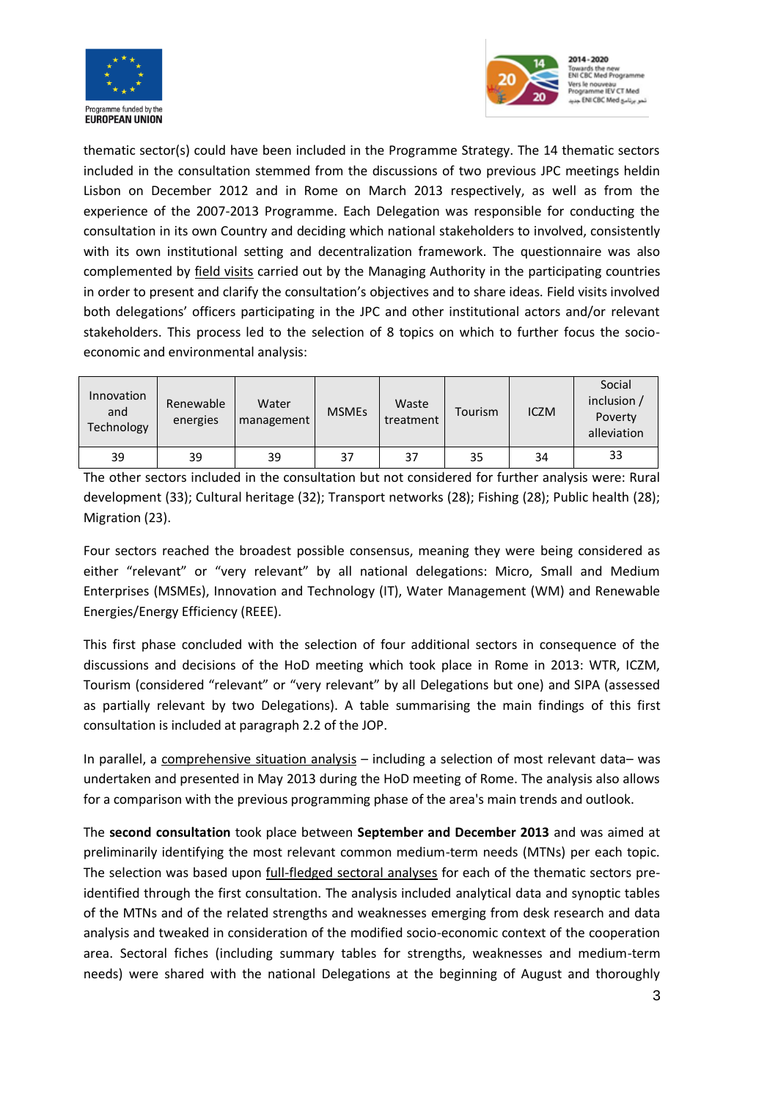



thematic sector(s) could have been included in the Programme Strategy. The 14 thematic sectors included in the consultation stemmed from the discussions of two previous JPC meetings heldin Lisbon on December 2012 and in Rome on March 2013 respectively, as well as from the experience of the 2007-2013 Programme. Each Delegation was responsible for conducting the consultation in its own Country and deciding which national stakeholders to involved, consistently with its own institutional setting and decentralization framework. The questionnaire was also complemented by field visits carried out by the Managing Authority in the participating countries in order to present and clarify the consultation's objectives and to share ideas. Field visits involved both delegations' officers participating in the JPC and other institutional actors and/or relevant stakeholders. This process led to the selection of 8 topics on which to further focus the socioeconomic and environmental analysis:

| Innovation<br>and<br>Technology | Renewable<br>energies | Water<br>management | <b>MSMEs</b> | Waste<br>treatment | Tourism | <b>ICZM</b> | Social<br>inclusion /<br>Poverty<br>alleviation |
|---------------------------------|-----------------------|---------------------|--------------|--------------------|---------|-------------|-------------------------------------------------|
| 39                              | 39                    | 39                  | 37           | 37                 | 35      | 34          | 33                                              |

The other sectors included in the consultation but not considered for further analysis were: Rural development (33); Cultural heritage (32); Transport networks (28); Fishing (28); Public health (28); Migration (23).

Four sectors reached the broadest possible consensus, meaning they were being considered as either "relevant" or "very relevant" by all national delegations: Micro, Small and Medium Enterprises (MSMEs), Innovation and Technology (IT), Water Management (WM) and Renewable Energies/Energy Efficiency (REEE).

This first phase concluded with the selection of four additional sectors in consequence of the discussions and decisions of the HoD meeting which took place in Rome in 2013: WTR, ICZM, Tourism (considered "relevant" or "very relevant" by all Delegations but one) and SIPA (assessed as partially relevant by two Delegations). A table summarising the main findings of this first consultation is included at paragraph 2.2 of the JOP.

In parallel, a comprehensive situation analysis – including a selection of most relevant data– was undertaken and presented in May 2013 during the HoD meeting of Rome. The analysis also allows for a comparison with the previous programming phase of the area's main trends and outlook.

The **second consultation** took place between **September and December 2013** and was aimed at preliminarily identifying the most relevant common medium-term needs (MTNs) per each topic. The selection was based upon *full-fledged sectoral analyses* for each of the thematic sectors preidentified through the first consultation. The analysis included analytical data and synoptic tables of the MTNs and of the related strengths and weaknesses emerging from desk research and data analysis and tweaked in consideration of the modified socio-economic context of the cooperation area. Sectoral fiches (including summary tables for strengths, weaknesses and medium-term needs) were shared with the national Delegations at the beginning of August and thoroughly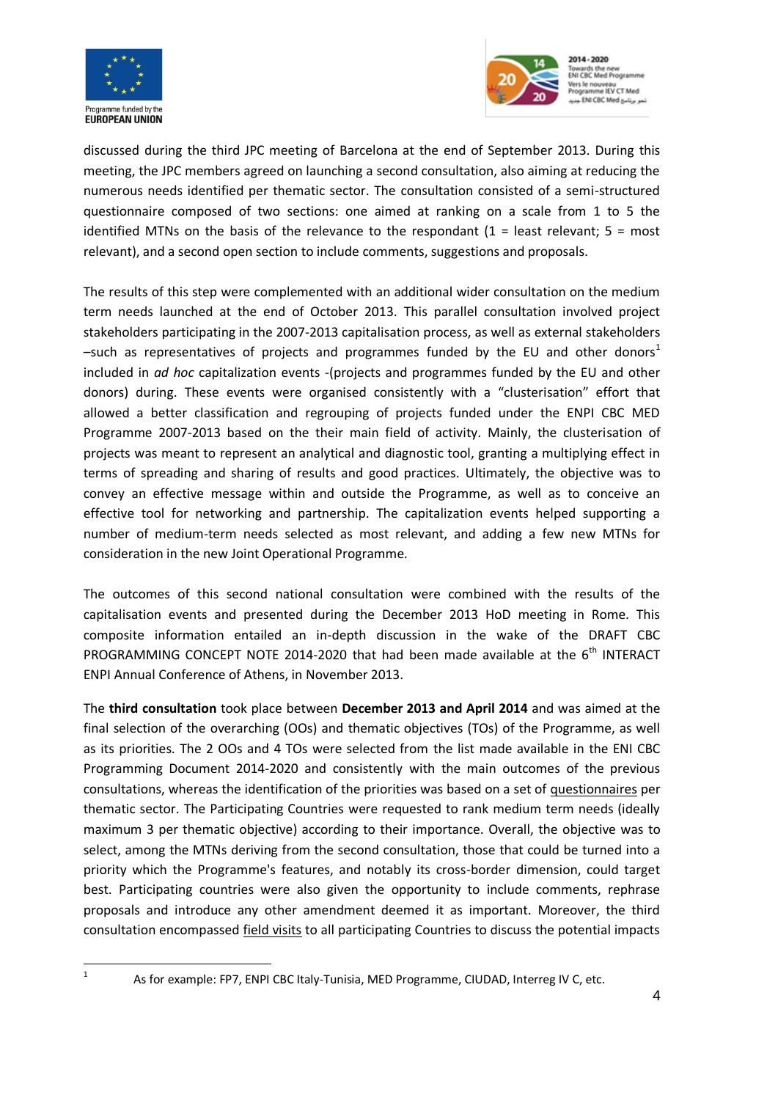



discussed during the third JPC meeting of Barcelona at the end of September 2013. During this meeting, the JPC members agreed on launching a second consultation, also aiming at reducing the numerous needs identified per thematic sector. The consultation consisted of a semi-structured questionnaire composed of two sections: one aimed at ranking on a scale from 1 to 5 the identified MTNs on the basis of the relevance to the respondant  $(1 =$  least relevant;  $5 =$  most relevant), and a second open section to include comments, suggestions and proposals.

The results of this step were complemented with an additional wider consultation on the medium term needs launched at the end of October 2013. This parallel consultation involved project stakeholders participating in the 2007-2013 capitalisation process, as well as external stakeholders –such as representatives of projects and programmes funded by the EU and other donors<sup>1</sup> included in *ad hoc* capitalization events -(projects and programmes funded by the EU and other donors) during. These events were organised consistently with a "clusterisation" effort that allowed a better classification and regrouping of projects funded under the ENPI CBC MED Programme 2007-2013 based on the their main field of activity. Mainly, the clusterisation of projects was meant to represent an analytical and diagnostic tool, granting a multiplying effect in terms of spreading and sharing of results and good practices. Ultimately, the objective was to convey an effective message within and outside the Programme, as well as to conceive an effective tool for networking and partnership. The capitalization events helped supporting a number of medium-term needs selected as most relevant, and adding a few new MTNs for consideration in the new Joint Operational Programme.

The outcomes of this second national consultation were combined with the results of the capitalisation events and presented during the December 2013 HoD meeting in Rome. This composite information entailed an in-depth discussion in the wake of the DRAFT CBC PROGRAMMING CONCEPT NOTE 2014-2020 that had been made available at the  $6<sup>th</sup>$  INTERACT ENPI Annual Conference of Athens, in November 2013.

The **third consultation** took place between **December 2013 and April 2014** and was aimed at the final selection of the overarching (OOs) and thematic objectives (TOs) of the Programme, as well as its priorities. The 2 OOs and 4 TOs were selected from the list made available in the ENI CBC Programming Document 2014-2020 and consistently with the main outcomes of the previous consultations, whereas the identification of the priorities was based on a set of questionnaires per thematic sector. The Participating Countries were requested to rank medium term needs (ideally maximum 3 per thematic objective) according to their importance. Overall, the objective was to select, among the MTNs deriving from the second consultation, those that could be turned into a priority which the Programme's features, and notably its cross-border dimension, could target best. Participating countries were also given the opportunity to include comments, rephrase proposals and introduce any other amendment deemed it as important. Moreover, the third consultation encompassed field visits to all participating Countries to discuss the potential impacts

 $\frac{1}{1}$ 

As for example: FP7, ENPI CBC Italy-Tunisia, MED Programme, CIUDAD, Interreg IV C, etc.